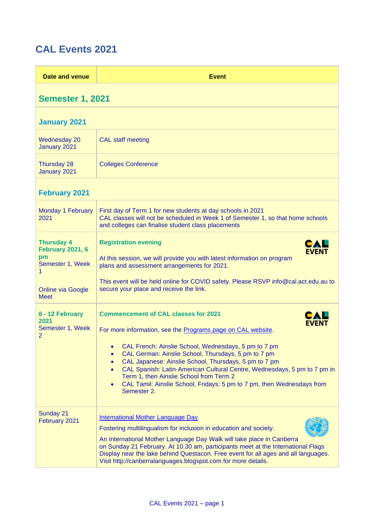## **CAL Events 2021**

| Date and venue                                                                                                         | <b>Event</b>                                                                                                                                                                                                                                                                                                                                                                                                                                                                                                                              |
|------------------------------------------------------------------------------------------------------------------------|-------------------------------------------------------------------------------------------------------------------------------------------------------------------------------------------------------------------------------------------------------------------------------------------------------------------------------------------------------------------------------------------------------------------------------------------------------------------------------------------------------------------------------------------|
| <b>Semester 1, 2021</b>                                                                                                |                                                                                                                                                                                                                                                                                                                                                                                                                                                                                                                                           |
| <b>January 2021</b>                                                                                                    |                                                                                                                                                                                                                                                                                                                                                                                                                                                                                                                                           |
| <b>Wednesday 20</b><br>January 2021                                                                                    | <b>CAL staff meeting</b>                                                                                                                                                                                                                                                                                                                                                                                                                                                                                                                  |
| Thursday 28<br>January 2021                                                                                            | <b>Colleges Conference</b>                                                                                                                                                                                                                                                                                                                                                                                                                                                                                                                |
| <b>February 2021</b>                                                                                                   |                                                                                                                                                                                                                                                                                                                                                                                                                                                                                                                                           |
| Monday 1 February<br>2021                                                                                              | First day of Term 1 for new students at day schools in 2021<br>CAL classes will not be scheduled in Week 1 of Semester 1, so that home schools<br>and colleges can finalise student class placements                                                                                                                                                                                                                                                                                                                                      |
| <b>Thursday 4</b><br><b>February 2021, 6</b><br>pm<br>Semester 1, Week<br>1<br><b>Online via Google</b><br><b>Meet</b> | <b>Registration evening</b><br>EVENT<br>At this session, we will provide you with latest information on program<br>plans and assessment arrangements for 2021.<br>This event will be held online for COVID safety. Please RSVP info@cal.act.edu.au to<br>secure your place and receive the link.                                                                                                                                                                                                                                          |
| 8 - 12 February<br>2021<br>Semester 1, Week<br>$\overline{2}$                                                          | <b>Commencement of CAL classes for 2021</b><br>For more information, see the Programs page on CAL website.<br>CAL French: Ainslie School, Wednesdays, 5 pm to 7 pm<br>CAL German: Ainslie School, Thursdays, 5 pm to 7 pm<br>$\bullet$<br>CAL Japanese: Ainslie School, Thursdays, 5 pm to 7 pm<br>$\bullet$<br>CAL Spanish: Latin-American Cultural Centre, Wednesdays, 5 pm to 7 pm in<br>$\bullet$<br>Term 1, then Ainslie School from Term 2<br>CAL Tamil: Ainslie School, Fridays; 5 pm to 7 pm, then Wednesdays from<br>Semester 2. |
| Sunday 21<br>February 2021                                                                                             | <b>International Mother Language Day</b><br>Fostering multilingualism for inclusion in education and society.<br>An International Mother Language Day Walk will take place in Canberra<br>on Sunday 21 February. At 10.30 am, participants meet at the International Flags<br>Display near the lake behind Questacon. Free event for all ages and all languages.<br>Visit http://canberralanguages.blogspot.com for more details.                                                                                                         |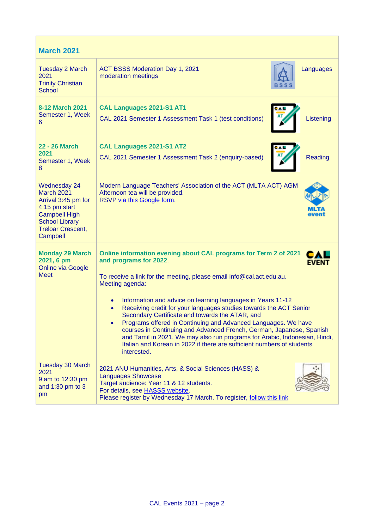| <b>March 2021</b>                                                                                                                                                  |                                                                                                                                                                                                                                                                                                                                                                                                                                                                                                                                                                                                                                                                                                                                                 |  |
|--------------------------------------------------------------------------------------------------------------------------------------------------------------------|-------------------------------------------------------------------------------------------------------------------------------------------------------------------------------------------------------------------------------------------------------------------------------------------------------------------------------------------------------------------------------------------------------------------------------------------------------------------------------------------------------------------------------------------------------------------------------------------------------------------------------------------------------------------------------------------------------------------------------------------------|--|
| <b>Tuesday 2 March</b><br>2021<br><b>Trinity Christian</b><br><b>School</b>                                                                                        | ACT BSSS Moderation Day 1, 2021<br>Languages<br>moderation meetings                                                                                                                                                                                                                                                                                                                                                                                                                                                                                                                                                                                                                                                                             |  |
| 8-12 March 2021<br>Semester 1, Week<br>6                                                                                                                           | CAL Languages 2021-S1 AT1<br>Listening<br>CAL 2021 Semester 1 Assessment Task 1 (test conditions)                                                                                                                                                                                                                                                                                                                                                                                                                                                                                                                                                                                                                                               |  |
| 22 - 26 March<br>2021<br>Semester 1, Week<br>8                                                                                                                     | CAL Languages 2021-S1 AT2<br><b>Reading</b><br>CAL 2021 Semester 1 Assessment Task 2 (enquiry-based)                                                                                                                                                                                                                                                                                                                                                                                                                                                                                                                                                                                                                                            |  |
| <b>Wednesday 24</b><br>March 2021<br>Arrival 3:45 pm for<br>4:15 pm start<br><b>Campbell High</b><br><b>School Library</b><br><b>Treloar Crescent,</b><br>Campbell | Modern Language Teachers' Association of the ACT (MLTA ACT) AGM<br>Afternoon tea will be provided.<br>RSVP via this Google form.<br>event                                                                                                                                                                                                                                                                                                                                                                                                                                                                                                                                                                                                       |  |
| <b>Monday 29 March</b><br>2021, 6 pm<br><b>Online via Google</b><br><b>Meet</b>                                                                                    | Online information evening about CAL programs for Term 2 of 2021<br>CAL<br>and programs for 2022.<br><b>EVENT</b><br>To receive a link for the meeting, please email info@cal.act.edu.au.<br>Meeting agenda:<br>Information and advice on learning languages in Years 11-12<br>$\bullet$<br>Receiving credit for your languages studies towards the ACT Senior<br>$\bullet$<br>Secondary Certificate and towards the ATAR, and<br>Programs offered in Continuing and Advanced Languages. We have<br>courses in Continuing and Advanced French, German, Japanese, Spanish<br>and Tamil in 2021. We may also run programs for Arabic, Indonesian, Hindi,<br>Italian and Korean in 2022 if there are sufficient numbers of students<br>interested. |  |
| <b>Tuesday 30 March</b><br>2021<br>9 am to 12:30 pm<br>and 1:30 pm to 3<br>pm                                                                                      | 2021 ANU Humanities, Arts, & Social Sciences (HASS) &<br><b>Languages Showcase</b><br>Target audience: Year 11 & 12 students.<br>For details, see HASSS website.<br>Please register by Wednesday 17 March. To register, follow this link                                                                                                                                                                                                                                                                                                                                                                                                                                                                                                        |  |

 $\mathcal{L}^{\text{max}}_{\text{max}}$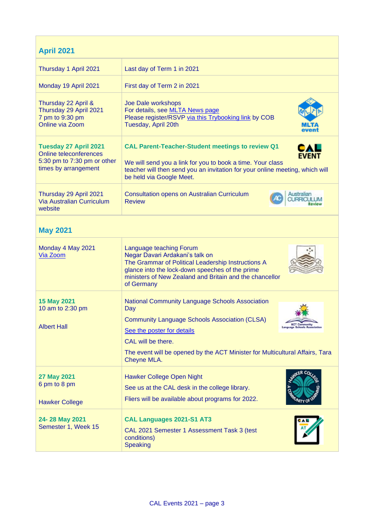| <b>April 2021</b>                                                                                                    |                                                                                                                                                                                                                                                                                                                      |  |
|----------------------------------------------------------------------------------------------------------------------|----------------------------------------------------------------------------------------------------------------------------------------------------------------------------------------------------------------------------------------------------------------------------------------------------------------------|--|
| Thursday 1 April 2021                                                                                                | Last day of Term 1 in 2021                                                                                                                                                                                                                                                                                           |  |
| Monday 19 April 2021                                                                                                 | First day of Term 2 in 2021                                                                                                                                                                                                                                                                                          |  |
| Thursday 22 April &<br>Thursday 29 April 2021<br>7 pm to 9:30 pm<br>Online via Zoom                                  | Joe Dale workshops<br>For details, see MLTA News page<br>Please register/RSVP via this Trybooking link by COB<br>Tuesday, April 20th                                                                                                                                                                                 |  |
| <b>Tuesday 27 April 2021</b><br><b>Online teleconferences</b><br>5:30 pm to 7:30 pm or other<br>times by arrangement | <b>CAL Parent-Teacher-Student meetings to review Q1</b><br><b>EVENT</b><br>We will send you a link for you to book a time. Your class<br>teacher will then send you an invitation for your online meeting, which will<br>be held via Google Meet.                                                                    |  |
| Thursday 29 April 2021<br><b>Via Australian Curriculum</b><br>website                                                | <b>Consultation opens on Australian Curriculum</b><br>Australian<br><b>CURRICULUM</b><br><b>Review</b>                                                                                                                                                                                                               |  |
| <b>May 2021</b>                                                                                                      |                                                                                                                                                                                                                                                                                                                      |  |
| Monday 4 May 2021<br>Via Zoom                                                                                        | Language teaching Forum<br>Negar Davari Ardakani's talk on<br>The Grammar of Political Leadership Instructions A<br>glance into the lock-down speeches of the prime<br>ministers of New Zealand and Britain and the chancellor<br>of Germany                                                                         |  |
| 15 May 2021<br>10 am to 2:30 pm<br><b>Albert Hall</b>                                                                | <b>National Community Language Schools Association</b><br>Day<br><b>Community Language Schools Association (CLSA)</b><br><b>ACT Community</b><br>age Schools Asse<br>See the poster for details<br>CAL will be there.<br>The event will be opened by the ACT Minister for Multicultural Affairs, Tara<br>Cheyne MLA. |  |
| <b>27 May 2021</b><br>6 pm to 8 pm<br><b>Hawker College</b>                                                          | Hawker College Open Night<br>See us at the CAL desk in the college library.<br>Fliers will be available about programs for 2022.                                                                                                                                                                                     |  |
| 24-28 May 2021<br>Semester 1, Week 15                                                                                | CAL Languages 2021-S1 AT3<br>CAL 2021 Semester 1 Assessment Task 3 (test<br>conditions)<br>Speaking                                                                                                                                                                                                                  |  |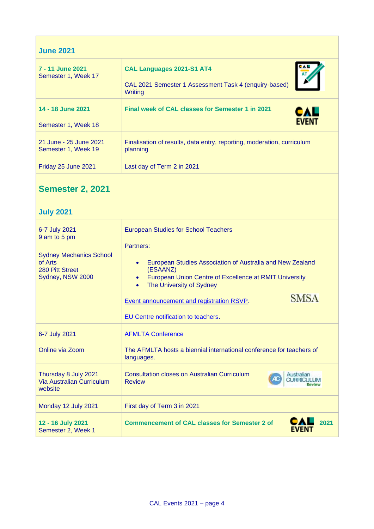| <b>June 2021</b>                              |                                                                                                      |  |
|-----------------------------------------------|------------------------------------------------------------------------------------------------------|--|
| 7 - 11 June 2021<br>Semester 1, Week 17       | <b>CAL Languages 2021-S1 AT4</b><br>CAL 2021 Semester 1 Assessment Task 4 (enquiry-based)<br>Writing |  |
| 14 - 18 June 2021<br>Semester 1, Week 18      | Final week of CAL classes for Semester 1 in 2021<br>CAL<br><b>FVFNT</b>                              |  |
| 21 June - 25 June 2021<br>Semester 1, Week 19 | Finalisation of results, data entry, reporting, moderation, curriculum<br>planning                   |  |
| Friday 25 June 2021                           | Last day of Term 2 in 2021                                                                           |  |

## **Semester 2, 2021**

## **July 2021**

 $\mathcal{L}^{\text{max}}_{\text{max}}$ 

| 6-7 July 2021<br>9 am to 5 pm                                                    | <b>European Studies for School Teachers</b><br>Partners:                                                                                                                                                                                                       |
|----------------------------------------------------------------------------------|----------------------------------------------------------------------------------------------------------------------------------------------------------------------------------------------------------------------------------------------------------------|
| <b>Sydney Mechanics School</b><br>of Arts<br>280 Pitt Street<br>Sydney, NSW 2000 | European Studies Association of Australia and New Zealand<br>$\bullet$<br>(ESAANZ)<br>European Union Centre of Excellence at RMIT University<br>$\bullet$<br>The University of Sydney<br>$\bullet$<br><b>SMSA</b><br>Event announcement and registration RSVP. |
|                                                                                  | <b>EU Centre notification to teachers.</b>                                                                                                                                                                                                                     |
| 6-7 July 2021                                                                    | <b>AFMLTA Conference</b>                                                                                                                                                                                                                                       |
| Online via Zoom                                                                  | The AFMLTA hosts a biennial international conference for teachers of<br>languages.                                                                                                                                                                             |
| Thursday 8 July 2021<br><b>Via Australian Curriculum</b><br>website              | Consultation closes on Australian Curriculum<br>Australian<br><b>Review</b>                                                                                                                                                                                    |
| Monday 12 July 2021                                                              | First day of Term 3 in 2021                                                                                                                                                                                                                                    |
| 12 - 16 July 2021<br>Semester 2, Week 1                                          | 2021<br><b>Commencement of CAL classes for Semester 2 of</b><br>FVFNT                                                                                                                                                                                          |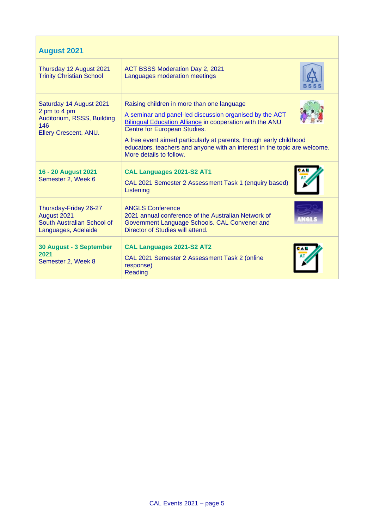| <b>August 2021</b>                                                                                    |                                                                                                                                                                                                                                                                                                                                                                                               |  |
|-------------------------------------------------------------------------------------------------------|-----------------------------------------------------------------------------------------------------------------------------------------------------------------------------------------------------------------------------------------------------------------------------------------------------------------------------------------------------------------------------------------------|--|
| Thursday 12 August 2021<br><b>Trinity Christian School</b>                                            | ACT BSSS Moderation Day 2, 2021<br>Languages moderation meetings                                                                                                                                                                                                                                                                                                                              |  |
| Saturday 14 August 2021<br>2 pm to 4 pm<br>Auditorium, RSSS, Building<br>146<br>Ellery Crescent, ANU. | Raising children in more than one language<br>A seminar and panel-led discussion organised by the ACT<br><b>Bilingual Education Alliance in cooperation with the ANU</b><br><b>Centre for European Studies.</b><br>A free event aimed particularly at parents, though early childhood<br>educators, teachers and anyone with an interest in the topic are welcome.<br>More details to follow. |  |
| 16 - 20 August 2021<br>Semester 2, Week 6                                                             | CAL Languages 2021-S2 AT1<br>CAL 2021 Semester 2 Assessment Task 1 (enquiry based)<br>Listening                                                                                                                                                                                                                                                                                               |  |
| Thursday-Friday 26-27<br>August 2021<br>South Australian School of<br>Languages, Adelaide             | <b>ANGLS Conference</b><br>2021 annual conference of the Australian Network of<br>Government Language Schools. CAL Convener and<br>Director of Studies will attend.                                                                                                                                                                                                                           |  |
| 30 August - 3 September<br>2021<br>Semester 2, Week 8                                                 | <b>CAL Languages 2021-S2 AT2</b><br>CAL 2021 Semester 2 Assessment Task 2 (online<br>response)<br>Reading                                                                                                                                                                                                                                                                                     |  |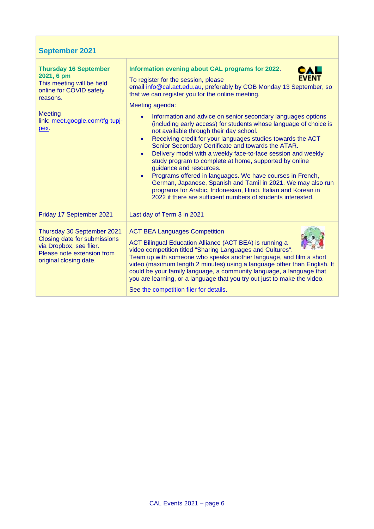| <b>September 2021</b>                                                                                                                                                       |                                                                                                                                                                                                                                                                                                                                                                                                                                                                                                                                                                                                                                                                                                                                                                                                                                                                                                                                                                                                                       |
|-----------------------------------------------------------------------------------------------------------------------------------------------------------------------------|-----------------------------------------------------------------------------------------------------------------------------------------------------------------------------------------------------------------------------------------------------------------------------------------------------------------------------------------------------------------------------------------------------------------------------------------------------------------------------------------------------------------------------------------------------------------------------------------------------------------------------------------------------------------------------------------------------------------------------------------------------------------------------------------------------------------------------------------------------------------------------------------------------------------------------------------------------------------------------------------------------------------------|
| <b>Thursday 16 September</b><br>2021, 6 pm<br>This meeting will be held<br>online for COVID safety<br>reasons.<br><b>Meeting</b><br>link: meet.google.com/tfg-tupj-<br>pex. | Information evening about CAL programs for 2022.<br><b>EVENT</b><br>To register for the session, please<br>email info@cal.act.edu.au, preferably by COB Monday 13 September, so<br>that we can register you for the online meeting.<br>Meeting agenda:<br>Information and advice on senior secondary languages options<br>$\bullet$<br>(including early access) for students whose language of choice is<br>not available through their day school.<br>Receiving credit for your languages studies towards the ACT<br>$\bullet$<br>Senior Secondary Certificate and towards the ATAR.<br>Delivery model with a weekly face-to-face session and weekly<br>$\bullet$<br>study program to complete at home, supported by online<br>guidance and resources.<br>Programs offered in languages. We have courses in French,<br>German, Japanese, Spanish and Tamil in 2021. We may also run<br>programs for Arabic, Indonesian, Hindi, Italian and Korean in<br>2022 if there are sufficient numbers of students interested. |
| Friday 17 September 2021                                                                                                                                                    | Last day of Term 3 in 2021                                                                                                                                                                                                                                                                                                                                                                                                                                                                                                                                                                                                                                                                                                                                                                                                                                                                                                                                                                                            |
| Thursday 30 September 2021<br>Closing date for submissions<br>via Dropbox, see flier.<br>Please note extension from<br>original closing date.                               | <b>ACT BEA Languages Competition</b><br>ACT Bilingual Education Alliance (ACT BEA) is running a<br>video competition titled "Sharing Languages and Cultures".<br>Team up with someone who speaks another language, and film a short<br>video (maximum length 2 minutes) using a language other than English. It<br>could be your family language, a community language, a language that<br>you are learning, or a language that you try out just to make the video.<br>See the competition flier for details.                                                                                                                                                                                                                                                                                                                                                                                                                                                                                                         |

 $\mathcal{L}_{\mathrm{max}}$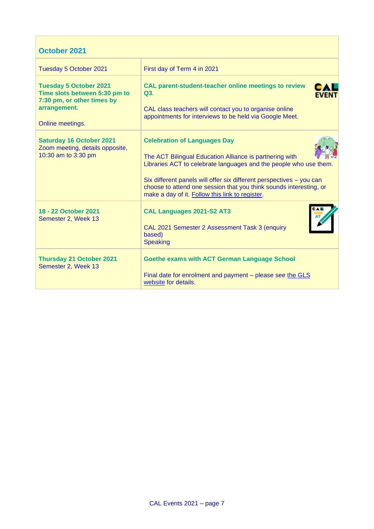## **October 2021**

| Tuesday 5 October 2021                                                                                                           | First day of Term 4 in 2021                                                                                                                                                                                                                                                                                                                                          |
|----------------------------------------------------------------------------------------------------------------------------------|----------------------------------------------------------------------------------------------------------------------------------------------------------------------------------------------------------------------------------------------------------------------------------------------------------------------------------------------------------------------|
| <b>Tuesday 5 October 2021</b><br>Time slots between 5:30 pm to<br>7:30 pm, or other times by<br>arrangement.<br>Online meetings. | <b>CAL parent-student-teacher online meetings to review</b><br>Q3.<br>CAL class teachers will contact you to organise online<br>appointments for interviews to be held via Google Meet.                                                                                                                                                                              |
| <b>Saturday 16 October 2021</b><br>Zoom meeting, details opposite,<br>10:30 am to 3:30 pm                                        | <b>Celebration of Languages Day</b><br>The ACT Bilingual Education Alliance is partnering with<br>Libraries ACT to celebrate languages and the people who use them.<br>Six different panels will offer six different perspectives - you can<br>choose to attend one session that you think sounds interesting, or<br>make a day of it. Follow this link to register. |
| 18 - 22 October 2021<br>Semester 2, Week 13                                                                                      | <b>CAL Languages 2021-S2 AT3</b><br>CAL 2021 Semester 2 Assessment Task 3 (enquiry<br>based)<br><b>Speaking</b>                                                                                                                                                                                                                                                      |
| <b>Thursday 21 October 2021</b><br>Semester 2, Week 13                                                                           | <b>Goethe exams with ACT German Language School</b><br>Final date for enrolment and payment – please see the GLS<br>website for details.                                                                                                                                                                                                                             |